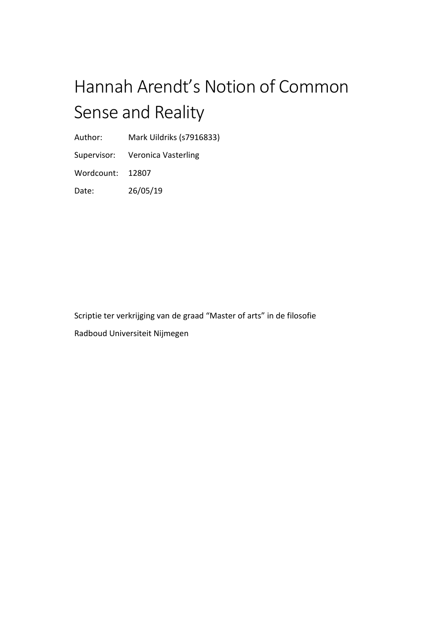# Hannah Arendt's Notion of Common Sense and Reality

Author: Mark Uildriks (s7916833)

Supervisor: Veronica Vasterling

Wordcount: 12807

Date: 26/05/19

Scriptie ter verkrijging van de graad "Master of arts" in de filosofie Radboud Universiteit Nijmegen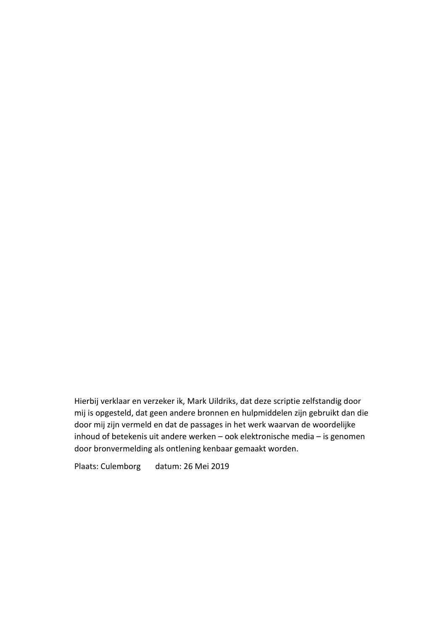Hierbij verklaar en verzeker ik, Mark Uildriks, dat deze scriptie zelfstandig door mij is opgesteld, dat geen andere bronnen en hulpmiddelen zijn gebruikt dan die door mij zijn vermeld en dat de passages in het werk waarvan de woordelijke inhoud of betekenis uit andere werken – ook elektronische media – is genomen door bronvermelding als ontlening kenbaar gemaakt worden.

Plaats: Culemborg datum: 26 Mei 2019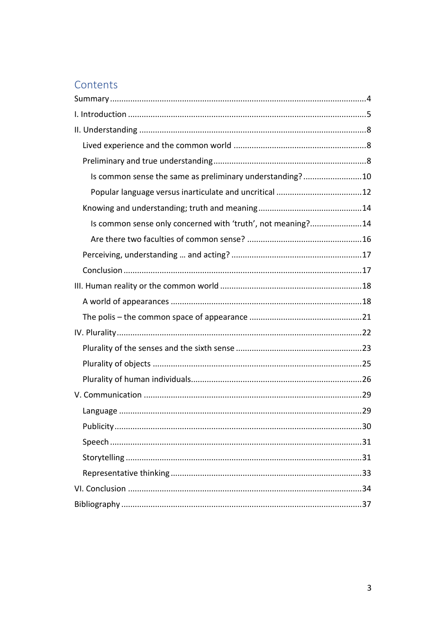# Contents

| Is common sense the same as preliminary understanding?10    |    |
|-------------------------------------------------------------|----|
|                                                             |    |
|                                                             |    |
| Is common sense only concerned with 'truth', not meaning?14 |    |
|                                                             |    |
|                                                             |    |
|                                                             |    |
|                                                             |    |
|                                                             |    |
|                                                             |    |
|                                                             |    |
|                                                             |    |
|                                                             |    |
|                                                             |    |
|                                                             |    |
|                                                             |    |
|                                                             | 30 |
|                                                             |    |
|                                                             |    |
|                                                             |    |
|                                                             |    |
|                                                             |    |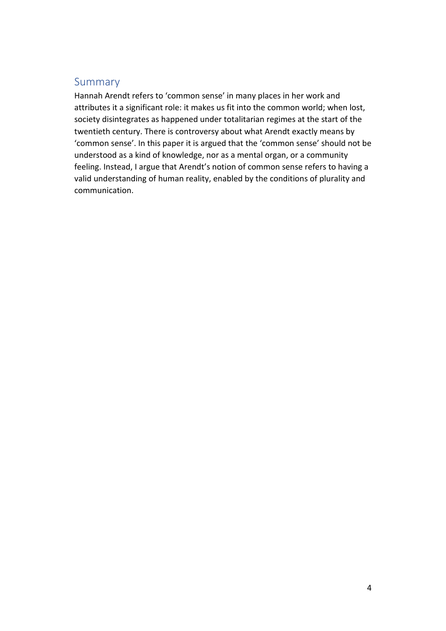# <span id="page-3-0"></span>Summary

Hannah Arendt refers to 'common sense' in many places in her work and attributes it a significant role: it makes us fit into the common world; when lost, society disintegrates as happened under totalitarian regimes at the start of the twentieth century. There is controversy about what Arendt exactly means by 'common sense'. In this paper it is argued that the 'common sense' should not be understood as a kind of knowledge, nor as a mental organ, or a community feeling. Instead, I argue that Arendt's notion of common sense refers to having a valid understanding of human reality, enabled by the conditions of plurality and communication.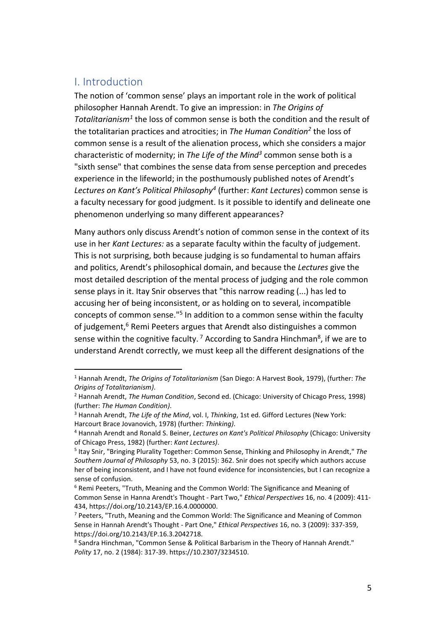## <span id="page-4-0"></span>I. Introduction

 $\overline{a}$ 

The notion of 'common sense' plays an important role in the work of political philosopher Hannah Arendt. To give an impression: in *The Origins of Totalitarianism<sup>1</sup>* the loss of common sense is both the condition and the result of the totalitarian practices and atrocities; in *The Human Condition<sup>2</sup>* the loss of common sense is a result of the alienation process, which she considers a major characteristic of modernity; in *The Life of the Mind<sup>3</sup>* common sense both is a "sixth sense" that combines the sense data from sense perception and precedes experience in the lifeworld; in the posthumously published notes of Arendt's *Lectures on Kant's Political Philosophy<sup>4</sup>* (further: *Kant Lectures*) common sense is a faculty necessary for good judgment. Is it possible to identify and delineate one phenomenon underlying so many different appearances?

Many authors only discuss Arendt's notion of common sense in the context of its use in her *Kant Lectures:* as a separate faculty within the faculty of judgement. This is not surprising, both because judging is so fundamental to human affairs and politics, Arendt's philosophical domain, and because the *Lectures* give the most detailed description of the mental process of judging and the role common sense plays in it. Itay Snir observes that "this narrow reading (...) has led to accusing her of being inconsistent, or as holding on to several, incompatible concepts of common sense."<sup>5</sup> In addition to a common sense within the faculty of judgement,<sup>6</sup> Remi Peeters argues that Arendt also distinguishes a common sense within the cognitive faculty.<sup>7</sup> According to Sandra Hinchman<sup>8</sup>, if we are to understand Arendt correctly, we must keep all the different designations of the

<sup>1</sup> Hannah Arendt, *The Origins of Totalitarianism* (San Diego: A Harvest Book, 1979), (further: *The Origins of Totalitarianism)*.

<sup>2</sup> Hannah Arendt, *The Human Condition*, Second ed. (Chicago: University of Chicago Press, 1998) (further: *The Human Condition)*.

<sup>3</sup> Hannah Arendt, *The Life of the Mind*, vol. I, *Thinking*, 1st ed. Gifford Lectures (New York: Harcourt Brace Jovanovich, 1978) (further: *Thinking)*.

<sup>4</sup> Hannah Arendt and Ronald S. Beiner, *Lectures on Kant's Political Philosophy* (Chicago: University of Chicago Press, 1982) (further: *Kant Lectures)*.

<sup>5</sup> Itay Snir, "Bringing Plurality Together: Common Sense, Thinking and Philosophy in Arendt," *The Southern Journal of Philosophy* 53, no. 3 (2015): 362. Snir does not specify which authors accuse her of being inconsistent, and I have not found evidence for inconsistencies, but I can recognize a sense of confusion.

<sup>&</sup>lt;sup>6</sup> Remi Peeters, "Truth, Meaning and the Common World: The Significance and Meaning of Common Sense in Hanna Arendt's Thought - Part Two," *Ethical Perspectives* 16, no. 4 (2009): 411- 434, https://doi.org/10.2143/EP.16.4.0000000.

 $7$  Peeters, "Truth, Meaning and the Common World: The Significance and Meaning of Common Sense in Hannah Arendt's Thought - Part One," *Ethical Perspectives* 16, no. 3 (2009): 337-359, https://doi.org/10.2143/EP.16.3.2042718.

<sup>&</sup>lt;sup>8</sup> Sandra Hinchman, "Common Sense & Political Barbarism in the Theory of Hannah Arendt." *Polity* 17, no. 2 (1984): 317-39. https://10.2307/3234510.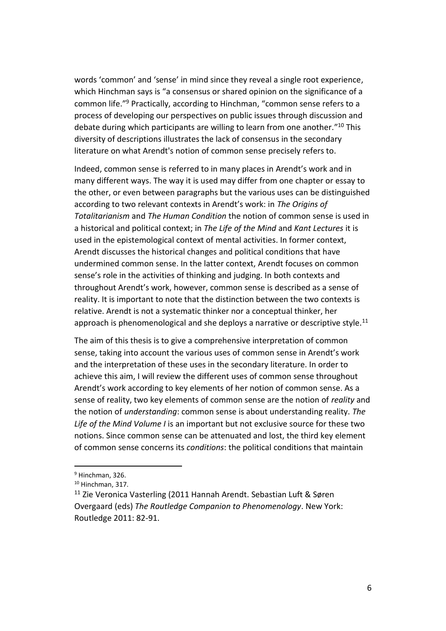words 'common' and 'sense' in mind since they reveal a single root experience, which Hinchman says is "a consensus or shared opinion on the significance of a common life."<sup>9</sup> Practically, according to Hinchman, "common sense refers to a process of developing our perspectives on public issues through discussion and debate during which participants are willing to learn from one another."<sup>10</sup> This diversity of descriptions illustrates the lack of consensus in the secondary literature on what Arendt's notion of common sense precisely refers to.

Indeed, common sense is referred to in many places in Arendt's work and in many different ways. The way it is used may differ from one chapter or essay to the other, or even between paragraphs but the various uses can be distinguished according to two relevant contexts in Arendt's work: in *The Origins of Totalitarianism* and *The Human Condition* the notion of common sense is used in a historical and political context; in *The Life of the Mind* and *Kant Lectures* it is used in the epistemological context of mental activities. In former context, Arendt discusses the historical changes and political conditions that have undermined common sense. In the latter context, Arendt focuses on common sense's role in the activities of thinking and judging. In both contexts and throughout Arendt's work, however, common sense is described as a sense of reality. It is important to note that the distinction between the two contexts is relative. Arendt is not a systematic thinker nor a conceptual thinker, her approach is phenomenological and she deploys a narrative or descriptive style.<sup>11</sup>

The aim of this thesis is to give a comprehensive interpretation of common sense, taking into account the various uses of common sense in Arendt's work and the interpretation of these uses in the secondary literature. In order to achieve this aim, I will review the different uses of common sense throughout Arendt's work according to key elements of her notion of common sense. As a sense of reality, two key elements of common sense are the notion of *reality* and the notion of *understanding*: common sense is about understanding reality. *The Life of the Mind Volume I* is an important but not exclusive source for these two notions. Since common sense can be attenuated and lost, the third key element of common sense concerns its *conditions*: the political conditions that maintain

<sup>9</sup> Hinchman, 326.

<sup>10</sup> Hinchman, 317.

<sup>11</sup> Zie Veronica Vasterling (2011 Hannah Arendt. Sebastian Luft & Søren Overgaard (eds) *The Routledge Companion to Phenomenology*. New York: Routledge 2011: 82-91.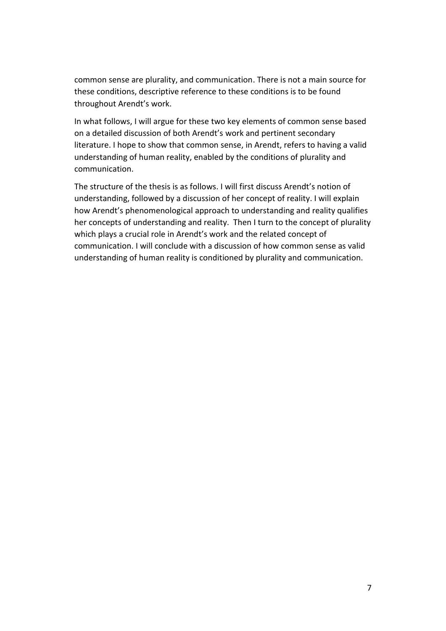common sense are plurality, and communication. There is not a main source for these conditions, descriptive reference to these conditions is to be found throughout Arendt's work.

In what follows, I will argue for these two key elements of common sense based on a detailed discussion of both Arendt's work and pertinent secondary literature. I hope to show that common sense, in Arendt, refers to having a valid understanding of human reality, enabled by the conditions of plurality and communication.

The structure of the thesis is as follows. I will first discuss Arendt's notion of understanding, followed by a discussion of her concept of reality. I will explain how Arendt's phenomenological approach to understanding and reality qualifies her concepts of understanding and reality. Then I turn to the concept of plurality which plays a crucial role in Arendt's work and the related concept of communication. I will conclude with a discussion of how common sense as valid understanding of human reality is conditioned by plurality and communication.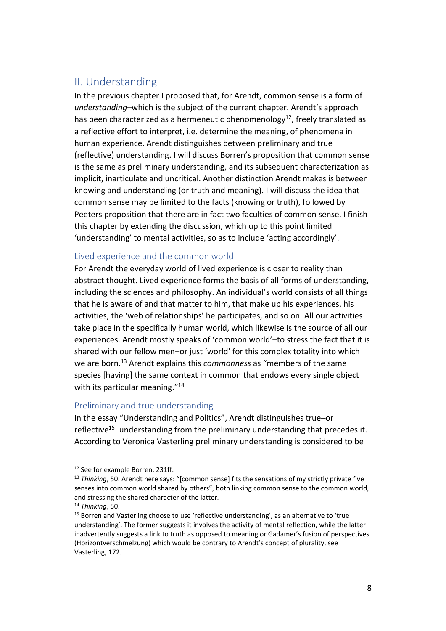## <span id="page-7-0"></span>II. Understanding

In the previous chapter I proposed that, for Arendt, common sense is a form of *understanding*–which is the subject of the current chapter. Arendt's approach has been characterized as a hermeneutic phenomenology<sup>12</sup>, freely translated as a reflective effort to interpret, i.e. determine the meaning, of phenomena in human experience. Arendt distinguishes between preliminary and true (reflective) understanding. I will discuss Borren's proposition that common sense is the same as preliminary understanding, and its subsequent characterization as implicit, inarticulate and uncritical. Another distinction Arendt makes is between knowing and understanding (or truth and meaning). I will discuss the idea that common sense may be limited to the facts (knowing or truth), followed by Peeters proposition that there are in fact two faculties of common sense. I finish this chapter by extending the discussion, which up to this point limited 'understanding' to mental activities, so as to include 'acting accordingly'.

## <span id="page-7-1"></span>Lived experience and the common world

For Arendt the everyday world of lived experience is closer to reality than abstract thought. Lived experience forms the basis of all forms of understanding, including the sciences and philosophy. An individual's world consists of all things that he is aware of and that matter to him, that make up his experiences, his activities, the 'web of relationships' he participates, and so on. All our activities take place in the specifically human world, which likewise is the source of all our experiences. Arendt mostly speaks of 'common world'–to stress the fact that it is shared with our fellow men–or just 'world' for this complex totality into which we are born.<sup>13</sup> Arendt explains this *commonness* as "members of the same species [having] the same context in common that endows every single object with its particular meaning."<sup>14</sup>

## <span id="page-7-2"></span>Preliminary and true understanding

In the essay "Understanding and Politics", Arendt distinguishes true–or reflective<sup>15</sup>–understanding from the preliminary understanding that precedes it. According to Veronica Vasterling preliminary understanding is considered to be

<sup>12</sup> See for example Borren, 231ff.

<sup>&</sup>lt;sup>13</sup> *Thinking*, 50. Arendt here says: "[common sense] fits the sensations of my strictly private five senses into common world shared by others", both linking common sense to the common world, and stressing the shared character of the latter.

<sup>14</sup> *Thinking*, 50.

<sup>&</sup>lt;sup>15</sup> Borren and Vasterling choose to use 'reflective understanding', as an alternative to 'true understanding'. The former suggests it involves the activity of mental reflection, while the latter inadvertently suggests a link to truth as opposed to meaning or Gadamer's fusion of perspectives (Horizontverschmelzung) which would be contrary to Arendt's concept of plurality, see Vasterling, 172.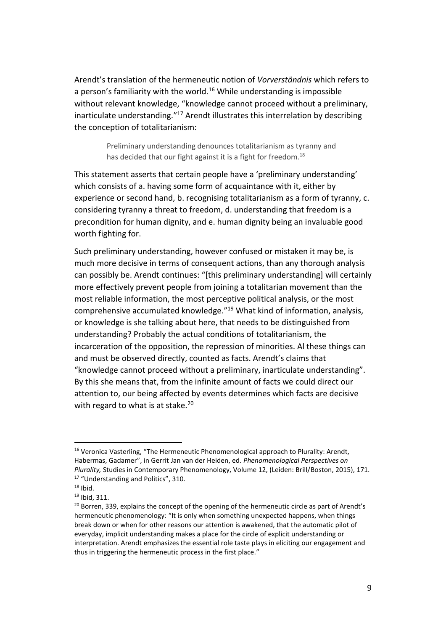Arendt's translation of the hermeneutic notion of *Vorverständnis* which refers to a person's familiarity with the world.<sup>16</sup> While understanding is impossible without relevant knowledge, "knowledge cannot proceed without a preliminary, inarticulate understanding."<sup>17</sup> Arendt illustrates this interrelation by describing the conception of totalitarianism:

> Preliminary understanding denounces totalitarianism as tyranny and has decided that our fight against it is a fight for freedom.<sup>18</sup>

This statement asserts that certain people have a 'preliminary understanding' which consists of a. having some form of acquaintance with it, either by experience or second hand, b. recognising totalitarianism as a form of tyranny, c. considering tyranny a threat to freedom, d. understanding that freedom is a precondition for human dignity, and e. human dignity being an invaluable good worth fighting for.

Such preliminary understanding, however confused or mistaken it may be, is much more decisive in terms of consequent actions, than any thorough analysis can possibly be. Arendt continues: "[this preliminary understanding] will certainly more effectively prevent people from joining a totalitarian movement than the most reliable information, the most perceptive political analysis, or the most comprehensive accumulated knowledge." <sup>19</sup> What kind of information, analysis, or knowledge is she talking about here, that needs to be distinguished from understanding? Probably the actual conditions of totalitarianism, the incarceration of the opposition, the repression of minorities. Al these things can and must be observed directly, counted as facts. Arendt's claims that "knowledge cannot proceed without a preliminary, inarticulate understanding". By this she means that, from the infinite amount of facts we could direct our attention to, our being affected by events determines which facts are decisive with regard to what is at stake.<sup>20</sup>

<sup>&</sup>lt;sup>16</sup> Veronica Vasterling, "The Hermeneutic Phenomenological approach to Plurality: Arendt, Habermas, Gadamer", in Gerrit Jan van der Heiden, ed. *Phenomenological Perspectives on Plurality,* Studies in Contemporary Phenomenology, Volume 12, (Leiden: Brill/Boston, 2015), 171. <sup>17</sup> "Understanding and Politics", 310.

 $18$  Ibid.

<sup>19</sup> Ibid, 311.

 $20$  Borren, 339, explains the concept of the opening of the hermeneutic circle as part of Arendt's hermeneutic phenomenology: "It is only when something unexpected happens, when things break down or when for other reasons our attention is awakened, that the automatic pilot of everyday, implicit understanding makes a place for the circle of explicit understanding or interpretation. Arendt emphasizes the essential role taste plays in eliciting our engagement and thus in triggering the hermeneutic process in the first place."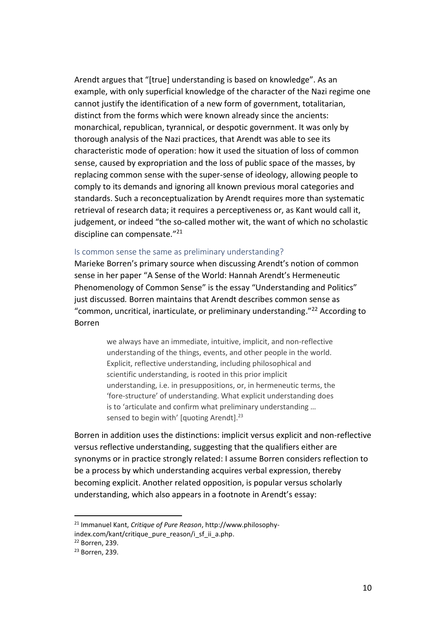Arendt argues that "[true] understanding is based on knowledge". As an example, with only superficial knowledge of the character of the Nazi regime one cannot justify the identification of a new form of government, totalitarian, distinct from the forms which were known already since the ancients: monarchical, republican, tyrannical, or despotic government. It was only by thorough analysis of the Nazi practices, that Arendt was able to see its characteristic mode of operation: how it used the situation of loss of common sense, caused by expropriation and the loss of public space of the masses, by replacing common sense with the super-sense of ideology, allowing people to comply to its demands and ignoring all known previous moral categories and standards. Such a reconceptualization by Arendt requires more than systematic retrieval of research data; it requires a perceptiveness or, as Kant would call it, judgement, or indeed "the so-called mother wit, the want of which no scholastic discipline can compensate." 21

#### <span id="page-9-0"></span>Is common sense the same as preliminary understanding?

Marieke Borren's primary source when discussing Arendt's notion of common sense in her paper "A Sense of the World: Hannah Arendt's Hermeneutic Phenomenology of Common Sense" is the essay "Understanding and Politics" just discussed*.* Borren maintains that Arendt describes common sense as "common, uncritical, inarticulate, or preliminary understanding."<sup>22</sup> According to Borren

> we always have an immediate, intuitive, implicit, and non-reflective understanding of the things, events, and other people in the world. Explicit, reflective understanding, including philosophical and scientific understanding, is rooted in this prior implicit understanding, i.e. in presuppositions, or, in hermeneutic terms, the 'fore-structure' of understanding. What explicit understanding does is to 'articulate and confirm what preliminary understanding … sensed to begin with' [quoting Arendt].<sup>23</sup>

Borren in addition uses the distinctions: implicit versus explicit and non-reflective versus reflective understanding, suggesting that the qualifiers either are synonyms or in practice strongly related: I assume Borren considers reflection to be a process by which understanding acquires verbal expression, thereby becoming explicit. Another related opposition, is popular versus scholarly understanding, which also appears in a footnote in Arendt's essay:

<sup>21</sup> Immanuel Kant, *Critique of Pure Reason*, http://www.philosophy-

index.com/kant/critique\_pure\_reason/i\_sf\_ii\_a.php.

<sup>22</sup> Borren, 239.

<sup>23</sup> Borren, 239.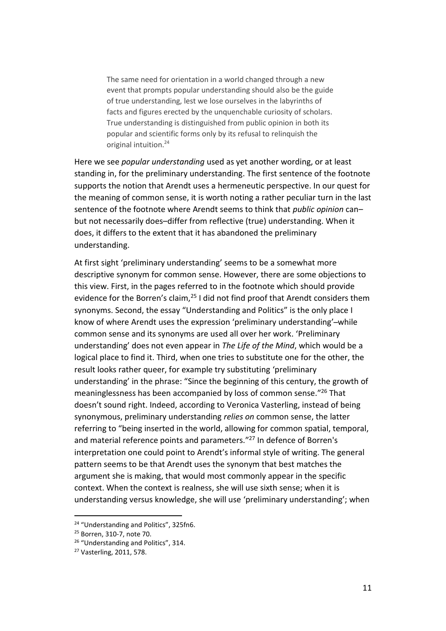The same need for orientation in a world changed through a new event that prompts popular understanding should also be the guide of true understanding, lest we lose ourselves in the labyrinths of facts and figures erected by the unquenchable curiosity of scholars. True understanding is distinguished from public opinion in both its popular and scientific forms only by its refusal to relinquish the original intuition.<sup>24</sup>

Here we see *popular understanding* used as yet another wording, or at least standing in, for the preliminary understanding. The first sentence of the footnote supports the notion that Arendt uses a hermeneutic perspective. In our quest for the meaning of common sense, it is worth noting a rather peculiar turn in the last sentence of the footnote where Arendt seems to think that *public opinion* can– but not necessarily does–differ from reflective (true) understanding. When it does, it differs to the extent that it has abandoned the preliminary understanding.

At first sight 'preliminary understanding' seems to be a somewhat more descriptive synonym for common sense. However, there are some objections to this view. First, in the pages referred to in the footnote which should provide evidence for the Borren's claim, $^{25}$  I did not find proof that Arendt considers them synonyms. Second, the essay "Understanding and Politics" is the only place I know of where Arendt uses the expression 'preliminary understanding'-while common sense and its synonyms are used all over her work. 'Preliminary understanding' does not even appear in *The Life of the Mind*, which would be a logical place to find it. Third, when one tries to substitute one for the other, the result looks rather queer, for example try substituting 'preliminary understanding' in the phrase: "Since the beginning of this century, the growth of meaninglessness has been accompanied by loss of common sense." <sup>26</sup> That doesn't sound right. Indeed, according to Veronica Vasterling, instead of being synonymous, preliminary understanding *relies on* common sense, the latter referring to "being inserted in the world, allowing for common spatial, temporal, and material reference points and parameters." <sup>27</sup> In defence of Borren's interpretation one could point to Arendt's informal style of writing. The general pattern seems to be that Arendt uses the synonym that best matches the argument she is making, that would most commonly appear in the specific context. When the context is realness, she will use sixth sense; when it is understanding versus knowledge, she will use 'preliminary understanding'; when

<sup>&</sup>lt;sup>24</sup> "Understanding and Politics", 325fn6.

<sup>25</sup> Borren, 310-7, note 70.

<sup>&</sup>lt;sup>26</sup> "Understanding and Politics", 314.

<sup>27</sup> Vasterling, 2011, 578.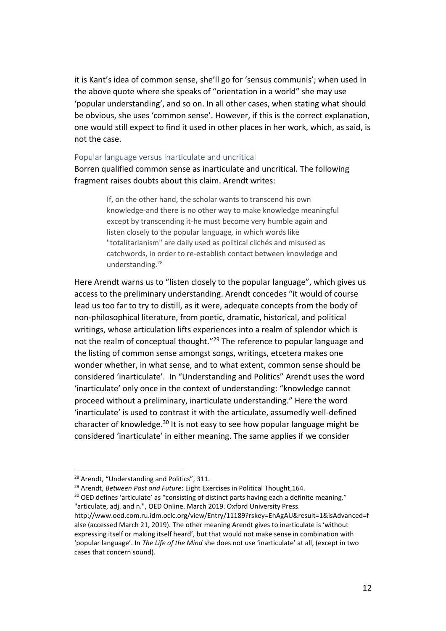it is Kant's idea of common sense, she'll go for 'sensus communis'; when used in the above quote where she speaks of "orientation in a world" she may use 'popular understanding', and so on. In all other cases, when stating what should be obvious, she uses 'common sense'. However, if this is the correct explanation, one would still expect to find it used in other places in her work, which, as said, is not the case.

#### <span id="page-11-0"></span>Popular language versus inarticulate and uncritical

Borren qualified common sense as inarticulate and uncritical. The following fragment raises doubts about this claim. Arendt writes:

> If, on the other hand, the scholar wants to transcend his own knowledge-and there is no other way to make knowledge meaningful except by transcending it-he must become very humble again and listen closely to the popular language*,* in which words like "totalitarianism" are daily used as political clichés and misused as catchwords, in order to re-establish contact between knowledge and understanding.<sup>28</sup>

Here Arendt warns us to "listen closely to the popular language", which gives us access to the preliminary understanding. Arendt concedes "it would of course lead us too far to try to distill, as it were, adequate concepts from the body of non-philosophical literature, from poetic, dramatic, historical, and political writings, whose articulation lifts experiences into a realm of splendor which is not the realm of conceptual thought."<sup>29</sup> The reference to popular language and the listing of common sense amongst songs, writings, etcetera makes one wonder whether, in what sense, and to what extent, common sense should be considered 'inarticulate'. In "Understanding and Politics" Arendt uses the word 'inarticulate' only once in the context of understanding: "knowledge cannot proceed without a preliminary, inarticulate understanding." Here the word 'inarticulate' is used to contrast it with the articulate, assumedly well-defined character of knowledge.<sup>30</sup> It is not easy to see how popular language might be considered 'inarticulate' in either meaning. The same applies if we consider

 $\overline{a}$ 

<sup>30</sup> OED defines 'articulate' as "consisting of distinct parts having each a definite meaning." "articulate, adj. and n.", OED Online. March 2019. Oxford University Press.

<sup>&</sup>lt;sup>28</sup> Arendt, "Understanding and Politics", 311.

<sup>29</sup> Arendt, *Between Past and Future*: Eight Exercises in Political Thought,164.

http://www.oed.com.ru.idm.oclc.org/view/Entry/11189?rskey=EhAgAU&result=1&isAdvanced=f alse (accessed March 21, 2019). The other meaning Arendt gives to inarticulate is 'without expressing itself or making itself heard', but that would not make sense in combination with 'popular language'. In *The Life of the Mind* she does not use 'inarticulate' at all, (except in two cases that concern sound).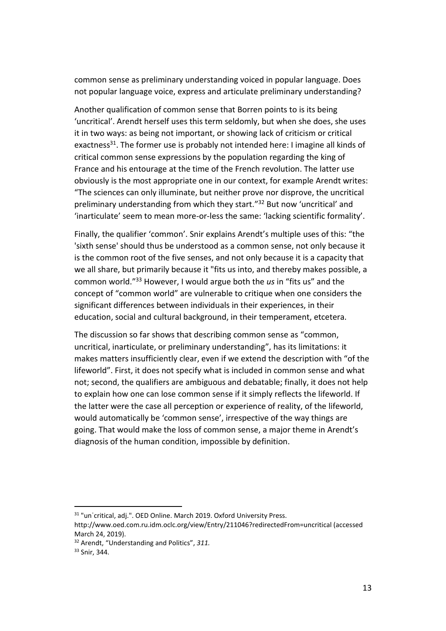common sense as preliminary understanding voiced in popular language. Does not popular language voice, express and articulate preliminary understanding?

Another qualification of common sense that Borren points to is its being 'uncritical'. Arendt herself uses this term seldomly, but when she does, she uses it in two ways: as being not important, or showing lack of criticism or critical exactness<sup>31</sup>. The former use is probably not intended here: I imagine all kinds of critical common sense expressions by the population regarding the king of France and his entourage at the time of the French revolution. The latter use obviously is the most appropriate one in our context, for example Arendt writes: "The sciences can only illuminate, but neither prove nor disprove, the uncritical preliminary understanding from which they start." <sup>32</sup> But now 'uncritical' and 'inarticulate' seem to mean more-or-less the same: 'lacking scientific formality'.

Finally, the qualifier 'common'. Snir explains Arendt's multiple uses of this: "the 'sixth sense' should thus be understood as a common sense, not only because it is the common root of the five senses, and not only because it is a capacity that we all share, but primarily because it "fits us into, and thereby makes possible, a common world." <sup>33</sup> However, I would argue both the *us* in "fits us" and the concept of "common world" are vulnerable to critique when one considers the significant differences between individuals in their experiences, in their education, social and cultural background, in their temperament, etcetera.

The discussion so far shows that describing common sense as "common, uncritical, inarticulate, or preliminary understanding", has its limitations: it makes matters insufficiently clear, even if we extend the description with "of the lifeworld". First, it does not specify what is included in common sense and what not; second, the qualifiers are ambiguous and debatable; finally, it does not help to explain how one can lose common sense if it simply reflects the lifeworld. If the latter were the case all perception or experience of reality, of the lifeworld, would automatically be 'common sense', irrespective of the way things are going. That would make the loss of common sense, a major theme in Arendt's diagnosis of the human condition, impossible by definition.

<sup>&</sup>lt;sup>31</sup> "un<sup>'</sup>critical, adj.". OED Online. March 2019. Oxford University Press.

http://www.oed.com.ru.idm.oclc.org/view/Entry/211046?redirectedFrom=uncritical (accessed March 24, 2019).

<sup>32</sup> Arendt, "Understanding and Politics", *311.*

<sup>33</sup> Snir, 344.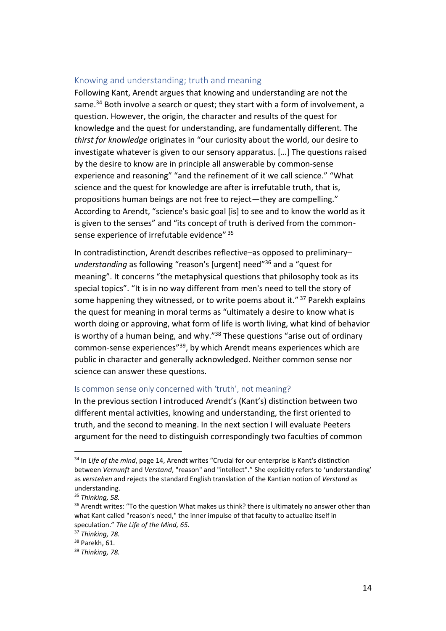#### <span id="page-13-0"></span>Knowing and understanding; truth and meaning

Following Kant, Arendt argues that knowing and understanding are not the same.<sup>34</sup> Both involve a search or quest; they start with a form of involvement, a question. However, the origin, the character and results of the quest for knowledge and the quest for understanding, are fundamentally different. The *thirst for knowledge* originates in "our curiosity about the world, our desire to investigate whatever is given to our sensory apparatus. […] The questions raised by the desire to know are in principle all answerable by common-sense experience and reasoning" "and the refinement of it we call science." "What science and the quest for knowledge are after is irrefutable truth, that is, propositions human beings are not free to reject—they are compelling." According to Arendt, "science's basic goal [is] to see and to know the world as it is given to the senses" and "its concept of truth is derived from the commonsense experience of irrefutable evidence"<sup>35</sup>

In contradistinction, Arendt describes reflective–as opposed to preliminary– *understanding* as following "reason's [urgent] need"<sup>36</sup> and a "quest for meaning". It concerns "the metaphysical questions that philosophy took as its special topics". "It is in no way different from men's need to tell the story of some happening they witnessed, or to write poems about it."<sup>37</sup> Parekh explains the quest for meaning in moral terms as "ultimately a desire to know what is worth doing or approving, what form of life is worth living, what kind of behavior is worthy of a human being, and why."<sup>38</sup> These questions "arise out of ordinary common-sense experiences"<sup>39</sup>, by which Arendt means experiences which are public in character and generally acknowledged. Neither common sense nor science can answer these questions.

#### <span id="page-13-1"></span>Is common sense only concerned with 'truth', not meaning?

In the previous section I introduced Arendt's (Kant's) distinction between two different mental activities, knowing and understanding, the first oriented to truth, and the second to meaning. In the next section I will evaluate Peeters argument for the need to distinguish correspondingly two faculties of common

<sup>34</sup> In *Life of the mind*, page 14, Arendt writes "Crucial for our enterprise is Kant's distinction between *Vernunft* and *Verstand*, "reason" and "intellect"." She explicitly refers to 'understanding' as *verstehen* and rejects the standard English translation of the Kantian notion of *Verstand* as understanding.

<sup>35</sup> *Thinking, 58.*

 $36$  Arendt writes: "To the question What makes us think? there is ultimately no answer other than what Kant called "reason's need," the inner impulse of that faculty to actualize itself in speculation." *The Life of the Mind, 65.*

<sup>37</sup> *Thinking, 78.*

<sup>38</sup> Parekh, 61.

<sup>39</sup> *Thinking, 78.*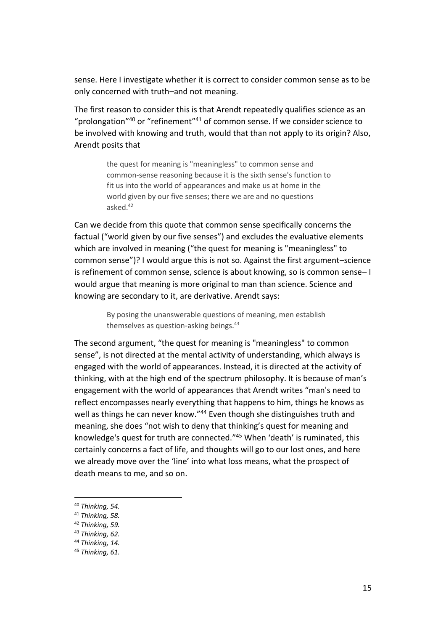sense. Here I investigate whether it is correct to consider common sense as to be only concerned with truth–and not meaning.

The first reason to consider this is that Arendt repeatedly qualifies science as an "prolongation"<sup>40</sup> or "refinement"<sup>41</sup> of common sense. If we consider science to be involved with knowing and truth, would that than not apply to its origin? Also, Arendt posits that

> the quest for meaning is "meaningless" to common sense and common-sense reasoning because it is the sixth sense's function to fit us into the world of appearances and make us at home in the world given by our five senses; there we are and no questions asked. 42

Can we decide from this quote that common sense specifically concerns the factual ("world given by our five senses") and excludes the evaluative elements which are involved in meaning ("the quest for meaning is "meaningless" to common sense")? I would argue this is not so. Against the first argument–science is refinement of common sense, science is about knowing, so is common sense– I would argue that meaning is more original to man than science. Science and knowing are secondary to it, are derivative. Arendt says:

> By posing the unanswerable questions of meaning, men establish themselves as question-asking beings. $43$

The second argument, "the quest for meaning is "meaningless" to common sense", is not directed at the mental activity of understanding, which always is engaged with the world of appearances. Instead, it is directed at the activity of thinking, with at the high end of the spectrum philosophy. It is because of man's engagement with the world of appearances that Arendt writes "man's need to reflect encompasses nearly everything that happens to him, things he knows as well as things he can never know."<sup>44</sup> Even though she distinguishes truth and meaning, she does "not wish to deny that thinking's quest for meaning and knowledge's quest for truth are connected." <sup>45</sup> When 'death' is ruminated, this certainly concerns a fact of life, and thoughts will go to our lost ones, and here we already move over the 'line' into what loss means, what the prospect of death means to me, and so on.

<sup>40</sup> *Thinking, 54.*

<sup>41</sup> *Thinking, 58.*

<sup>42</sup> *Thinking, 59.*

<sup>43</sup> *Thinking, 62.*

<sup>44</sup> *Thinking, 14.*

<sup>45</sup> *Thinking, 61.*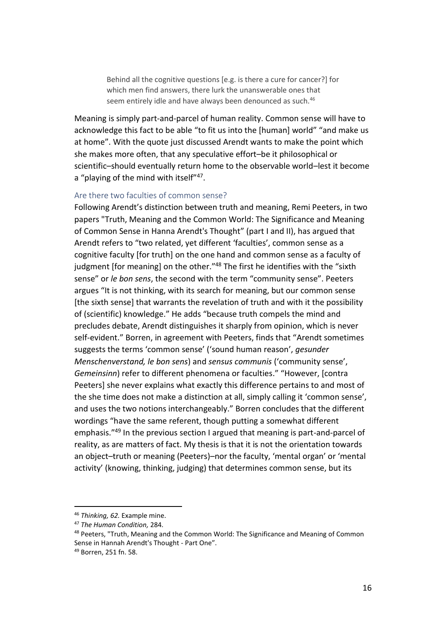Behind all the cognitive questions [e.g. is there a cure for cancer?] for which men find answers, there lurk the unanswerable ones that seem entirely idle and have always been denounced as such.<sup>46</sup>

Meaning is simply part-and-parcel of human reality. Common sense will have to acknowledge this fact to be able "to fit us into the [human] world" "and make us at home". With the quote just discussed Arendt wants to make the point which she makes more often, that any speculative effort–be it philosophical or scientific–should eventually return home to the observable world–lest it become a "playing of the mind with itself"<sup>47</sup>.

#### <span id="page-15-0"></span>Are there two faculties of common sense?

Following Arendt's distinction between truth and meaning, Remi Peeters, in two papers "Truth, Meaning and the Common World: The Significance and Meaning of Common Sense in Hanna Arendt's Thought" (part I and II), has argued that Arendt refers to "two related, yet different 'faculties', common sense as a cognitive faculty [for truth] on the one hand and common sense as a faculty of judgment [for meaning] on the other."<sup>48</sup> The first he identifies with the "sixth sense" or *le bon sens*, the second with the term "community sense". Peeters argues "It is not thinking, with its search for meaning, but our common sense [the sixth sense] that warrants the revelation of truth and with it the possibility of (scientific) knowledge." He adds "because truth compels the mind and precludes debate, Arendt distinguishes it sharply from opinion, which is never self-evident." Borren, in agreement with Peeters, finds that "Arendt sometimes suggests the terms 'common sense' ('sound human reason', *gesunder Menschenverstand, le bon sens*) and *sensus communis* ('community sense', *Gemeinsinn*) refer to different phenomena or faculties." "However, [contra Peeters] she never explains what exactly this difference pertains to and most of the she time does not make a distinction at all, simply calling it 'common sense', and uses the two notions interchangeably." Borren concludes that the different wordings "have the same referent, though putting a somewhat different emphasis." <sup>49</sup> In the previous section I argued that meaning is part-and-parcel of reality, as are matters of fact. My thesis is that it is not the orientation towards an object–truth or meaning (Peeters)–nor the faculty, 'mental organ' or 'mental activity' (knowing, thinking, judging) that determines common sense, but its

<sup>46</sup> *Thinking, 62.* Example mine.

<sup>47</sup> *The Human Condition,* 284.

<sup>&</sup>lt;sup>48</sup> Peeters, "Truth, Meaning and the Common World: The Significance and Meaning of Common Sense in Hannah Arendt's Thought - Part One".

<sup>49</sup> Borren, 251 fn. 58.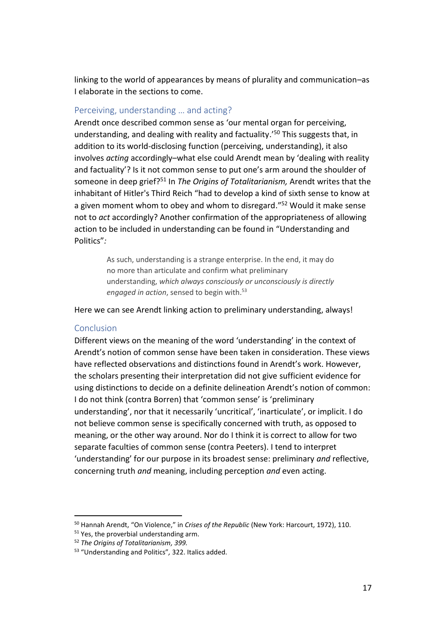linking to the world of appearances by means of plurality and communication–as I elaborate in the sections to come.

## <span id="page-16-0"></span>Perceiving, understanding … and acting?

Arendt once described common sense as 'our mental organ for perceiving, understanding, and dealing with reality and factuality.' <sup>50</sup> This suggests that, in addition to its world-disclosing function (perceiving, understanding), it also involves *acting* accordingly–what else could Arendt mean by 'dealing with reality and factuality'? Is it not common sense to put one's arm around the shoulder of someone in deep grief?<sup>51</sup> In *The Origins of Totalitarianism,* Arendt writes that the inhabitant of Hitler's Third Reich "had to develop a kind of sixth sense to know at a given moment whom to obey and whom to disregard."<sup>52</sup> Would it make sense not to *act* accordingly? Another confirmation of the appropriateness of allowing action to be included in understanding can be found in "Understanding and Politics"*:*

> As such, understanding is a strange enterprise. In the end, it may do no more than articulate and confirm what preliminary understanding, *which always consciously or unconsciously is directly*  engaged in action, sensed to begin with.<sup>53</sup>

Here we can see Arendt linking action to preliminary understanding, always!

#### <span id="page-16-1"></span>**Conclusion**

 $\overline{a}$ 

Different views on the meaning of the word 'understanding' in the context of Arendt's notion of common sense have been taken in consideration. These views have reflected observations and distinctions found in Arendt's work. However, the scholars presenting their interpretation did not give sufficient evidence for using distinctions to decide on a definite delineation Arendt's notion of common: I do not think (contra Borren) that 'common sense' is 'preliminary understanding', nor that it necessarily 'uncritical', 'inarticulate', or implicit. I do not believe common sense is specifically concerned with truth, as opposed to meaning, or the other way around. Nor do I think it is correct to allow for two separate faculties of common sense (contra Peeters). I tend to interpret 'understanding' for our purpose in its broadest sense: preliminary *and* reflective, concerning truth *and* meaning, including perception *and* even acting.

<sup>50</sup> Hannah Arendt, "On Violence," in *Crises of the Republic* (New York: Harcourt, 1972), 110.

<sup>&</sup>lt;sup>51</sup> Yes, the proverbial understanding arm.

<sup>52</sup> *The Origins of Totalitarianism, 399.*

<sup>53</sup> "Understanding and Politics"*,* 322. Italics added.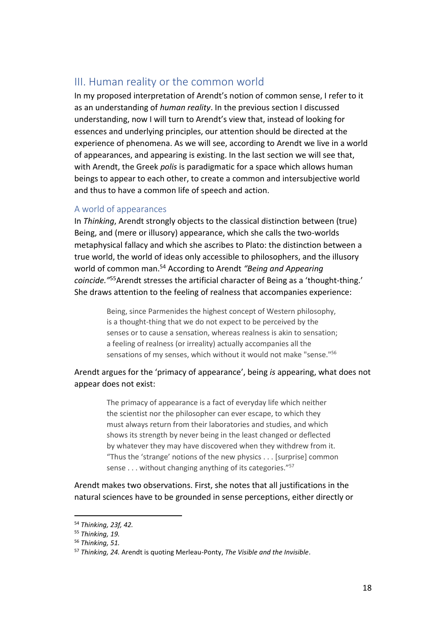## <span id="page-17-0"></span>III. Human reality or the common world

In my proposed interpretation of Arendt's notion of common sense, I refer to it as an understanding of *human reality*. In the previous section I discussed understanding, now I will turn to Arendt's view that, instead of looking for essences and underlying principles, our attention should be directed at the experience of phenomena. As we will see, according to Arendt we live in a world of appearances, and appearing is existing. In the last section we will see that, with Arendt, the Greek *polis* is paradigmatic for a space which allows human beings to appear to each other, to create a common and intersubjective world and thus to have a common life of speech and action.

## <span id="page-17-1"></span>A world of appearances

In *Thinking*, Arendt strongly objects to the classical distinction between (true) Being, and (mere or illusory) appearance, which she calls the two-worlds metaphysical fallacy and which she ascribes to Plato: the distinction between a true world, the world of ideas only accessible to philosophers, and the illusory world of common man.<sup>54</sup> According to Arendt *"Being and Appearing coincide."*<sup>55</sup>Arendt stresses the artificial character of Being as a 'thought-thing.' She draws attention to the feeling of realness that accompanies experience:

> Being, since Parmenides the highest concept of Western philosophy, is a thought-thing that we do not expect to be perceived by the senses or to cause a sensation, whereas realness is akin to sensation; a feeling of realness (or irreality) actually accompanies all the sensations of my senses, which without it would not make "sense."<sup>56</sup>

## Arendt argues for the 'primacy of appearance', being *is* appearing, what does not appear does not exist:

The primacy of appearance is a fact of everyday life which neither the scientist nor the philosopher can ever escape, to which they must always return from their laboratories and studies, and which shows its strength by never being in the least changed or deflected by whatever they may have discovered when they withdrew from it. "Thus the 'strange' notions of the new physics . . . [surprise] common sense . . . without changing anything of its categories."<sup>57</sup>

Arendt makes two observations. First, she notes that all justifications in the natural sciences have to be grounded in sense perceptions, either directly or

<sup>54</sup> *Thinking, 23f, 42.*

<sup>55</sup> *Thinking, 19.*

<sup>56</sup> *Thinking, 51.*

<sup>57</sup> *Thinking, 24.* Arendt is quoting Merleau-Ponty, *The Visible and the Invisible*.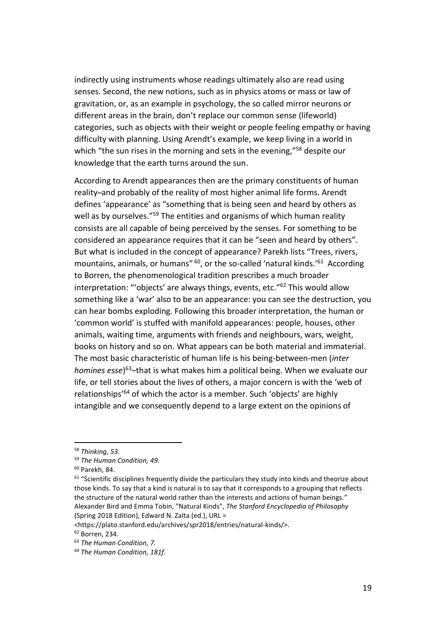indirectly using instruments whose readings ultimately also are read using senses. Second, the new notions, such as in physics atoms or mass or law of gravitation, or, as an example in psychology, the so called mirror neurons or different areas in the brain, don't replace our common sense (lifeworld) categories, such as objects with their weight or people feeling empathy or having difficulty with planning. Using Arendt's example, we keep living in a world in which "the sun rises in the morning and sets in the evening,"<sup>58</sup> despite our knowledge that the earth turns around the sun.

According to Arendt appearances then are the primary constituents of human reality-and probably of the reality of most higher animal life forms. Arendt defines 'appearance' as "something that is being seen and heard by others as well as by ourselves."<sup>59</sup> The entities and organisms of which human reality consists are all capable of being perceived by the senses. For something to be considered an appearance requires that it can be "seen and heard by others". But what is included in the concept of appearance? Parekh lists "Trees, rivers, mountains, animals, or humans" <sup>60</sup>, or the so-called 'natural kinds.'<sup>61</sup> According to Borren, the phenomenological tradition prescribes a much broader interpretation: "'objects' are always things, events, etc." <sup>62</sup> This would allow something like a 'war' also to be an appearance: you can see the destruction, you can hear bombs exploding. Following this broader interpretation, the human or 'common world' is stuffed with manifold appearances: people, houses, other animals, waiting time, arguments with friends and neighbours, wars, weight, books on history and so on. What appears can be both material and immaterial. The most basic characteristic of human life is his being-between-men (*inter homines esse*) <sup>63</sup>–that is what makes him a political being. When we evaluate our life, or tell stories about the lives of others, a major concern is with the 'web of relationships<sup>'64</sup> of which the actor is a member. Such 'objects' are highly intangible and we consequently depend to a large extent on the opinions of

 $\overline{a}$ 

 $61$  "Scientific disciplines frequently divide the particulars they study into kinds and theorize about those kinds. To say that a kind is natural is to say that it corresponds to a grouping that reflects the structure of the natural world rather than the interests and actions of human beings." Alexander Bird and Emma Tobin, "Natural Kinds", *The Stanford Encyclopedia of Philosophy*  (Spring 2018 Edition), Edward N. Zalta (ed.), URL =

<https://plato.stanford.edu/archives/spr2018/entries/natural-kinds/>.

<sup>58</sup> *Thinking, 53.*

<sup>59</sup> *The Human Condition, 49.*

<sup>60</sup> Parekh, 84.

<sup>62</sup> Borren, 234.

<sup>63</sup> *The Human Condition, 7.*

<sup>64</sup> *The Human Condition, 181f.*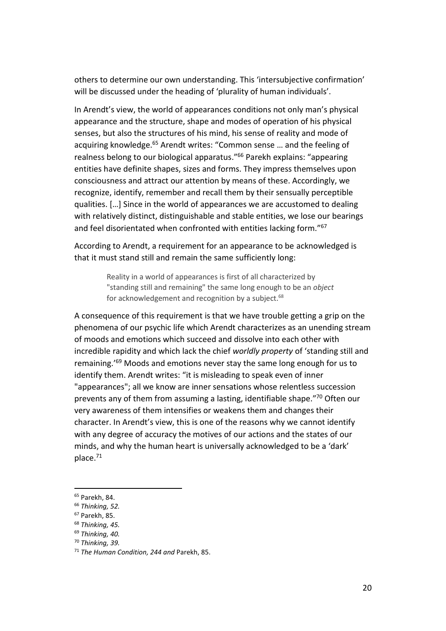others to determine our own understanding. This 'intersubjective confirmation' will be discussed under the heading of 'plurality of human individuals'.

In Arendt's view, the world of appearances conditions not only man's physical appearance and the structure, shape and modes of operation of his physical senses, but also the structures of his mind, his sense of reality and mode of acquiring knowledge.<sup>65</sup> Arendt writes: "Common sense ... and the feeling of realness belong to our biological apparatus."<sup>66</sup> Parekh explains: "appearing entities have definite shapes, sizes and forms. They impress themselves upon consciousness and attract our attention by means of these. Accordingly, we recognize, identify, remember and recall them by their sensually perceptible qualities. […] Since in the world of appearances we are accustomed to dealing with relatively distinct, distinguishable and stable entities, we lose our bearings and feel disorientated when confronted with entities lacking form."67

According to Arendt, a requirement for an appearance to be acknowledged is that it must stand still and remain the same sufficiently long:

> Reality in a world of appearances is first of all characterized by "standing still and remaining" the same long enough to be an *object* for acknowledgement and recognition by a subject. $68$

A consequence of this requirement is that we have trouble getting a grip on the phenomena of our psychic life which Arendt characterizes as an unending stream of moods and emotions which succeed and dissolve into each other with incredible rapidity and which lack the chief *worldly property* of 'standing still and remaining.'<sup>69</sup> Moods and emotions never stay the same long enough for us to identify them. Arendt writes: "it is misleading to speak even of inner "appearances"; all we know are inner sensations whose relentless succession prevents any of them from assuming a lasting, identifiable shape." <sup>70</sup> Often our very awareness of them intensifies or weakens them and changes their character. In Arendt's view, this is one of the reasons why we cannot identify with any degree of accuracy the motives of our actions and the states of our minds, and why the human heart is universally acknowledged to be a 'dark' place.<sup>71</sup>

j

<sup>65</sup> Parekh, 84.

<sup>66</sup> *Thinking, 52.*

<sup>67</sup> Parekh, 85.

<sup>68</sup> *Thinking, 45.*

<sup>69</sup> *Thinking, 40.*

<sup>70</sup> *Thinking, 39.*

<sup>71</sup> *The Human Condition, 244 and* Parekh, 85.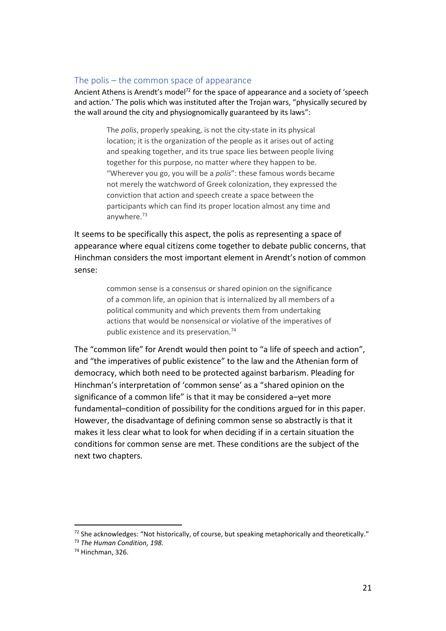#### <span id="page-20-0"></span>The polis – the common space of appearance

Ancient Athens is Arendt's model<sup>72</sup> for the space of appearance and a society of 'speech and action.' The polis which was instituted after the Trojan wars, "physically secured by the wall around the city and physiognomically guaranteed by its laws":

> The *polis*, properly speaking, is not the city-state in its physical location; it is the organization of the people as it arises out of acting and speaking together, and its true space lies between people living together for this purpose, no matter where they happen to be. "Wherever you go, you will be a *polis*": these famous words became not merely the watchword of Greek colonization, they expressed the conviction that action and speech create a space between the participants which can find its proper location almost any time and anywhere.<sup>73</sup>

It seems to be specifically this aspect, the polis as representing a space of appearance where equal citizens come together to debate public concerns, that Hinchman considers the most important element in Arendt's notion of common sense:

> common sense is a consensus or shared opinion on the significance of a common life, an opinion that is internalized by all members of a political community and which prevents them from undertaking actions that would be nonsensical or violative of the imperatives of public existence and its preservation.<sup>74</sup>

The "common life" for Arendt would then point to "a life of speech and action", and "the imperatives of public existence" to the law and the Athenian form of democracy, which both need to be protected against barbarism. Pleading for Hinchman's interpretation of 'common sense' as a "shared opinion on the significance of a common life" is that it may be considered a–yet more fundamental–condition of possibility for the conditions argued for in this paper. However, the disadvantage of defining common sense so abstractly is that it makes it less clear what to look for when deciding if in a certain situation the conditions for common sense are met. These conditions are the subject of the next two chapters.

<sup>72</sup> She acknowledges: "Not historically, of course, but speaking metaphorically and theoretically."

<sup>73</sup> *The Human Condition, 198.*

<sup>74</sup> Hinchman, 326.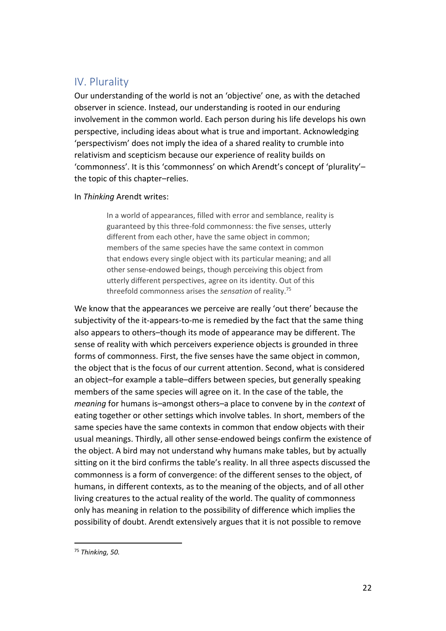## <span id="page-21-0"></span>IV. Plurality

Our understanding of the world is not an 'objective' one, as with the detached observer in science. Instead, our understanding is rooted in our enduring involvement in the common world. Each person during his life develops his own perspective, including ideas about what is true and important. Acknowledging 'perspectivism' does not imply the idea of a shared reality to crumble into relativism and scepticism because our experience of reality builds on 'commonness'. It is this 'commonness' on which Arendt's concept of 'plurality'– the topic of this chapter–relies.

#### In *Thinking* Arendt writes:

In a world of appearances, filled with error and semblance, reality is guaranteed by this three-fold commonness: the five senses, utterly different from each other, have the same object in common; members of the same species have the same context in common that endows every single object with its particular meaning; and all other sense-endowed beings, though perceiving this object from utterly different perspectives, agree on its identity. Out of this threefold commonness arises the *sensation* of reality.<sup>75</sup>

We know that the appearances we perceive are really 'out there' because the subjectivity of the it-appears-to-me is remedied by the fact that the same thing also appears to others–though its mode of appearance may be different. The sense of reality with which perceivers experience objects is grounded in three forms of commonness. First, the five senses have the same object in common, the object that is the focus of our current attention. Second, what is considered an object–for example a table–differs between species, but generally speaking members of the same species will agree on it. In the case of the table, the *meaning* for humans is–amongst others–a place to convene by in the *context* of eating together or other settings which involve tables. In short, members of the same species have the same contexts in common that endow objects with their usual meanings. Thirdly, all other sense-endowed beings confirm the existence of the object. A bird may not understand why humans make tables, but by actually sitting on it the bird confirms the table's reality. In all three aspects discussed the commonness is a form of convergence: of the different senses to the object, of humans, in different contexts, as to the meaning of the objects, and of all other living creatures to the actual reality of the world. The quality of commonness only has meaning in relation to the possibility of difference which implies the possibility of doubt. Arendt extensively argues that it is not possible to remove

<sup>75</sup> *Thinking, 50.*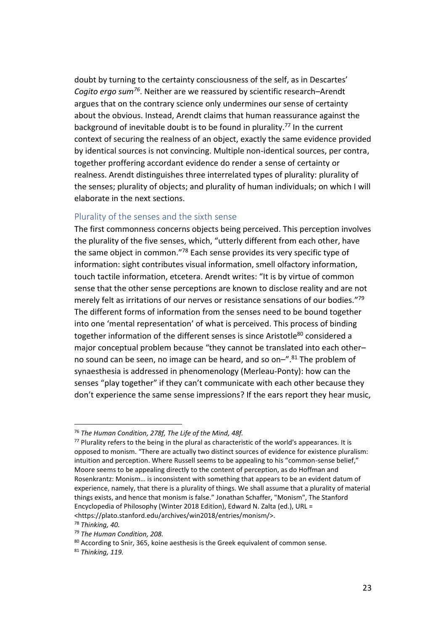doubt by turning to the certainty consciousness of the self, as in Descartes' *Cogito ergo sum<sup>76</sup>*. Neither are we reassured by scientific research–Arendt argues that on the contrary science only undermines our sense of certainty about the obvious. Instead, Arendt claims that human reassurance against the background of inevitable doubt is to be found in plurality.<sup>77</sup> In the current context of securing the realness of an object, exactly the same evidence provided by identical sources is not convincing. Multiple non-identical sources, per contra, together proffering accordant evidence do render a sense of certainty or realness. Arendt distinguishes three interrelated types of plurality: plurality of the senses; plurality of objects; and plurality of human individuals; on which I will elaborate in the next sections.

## <span id="page-22-0"></span>Plurality of the senses and the sixth sense

The first commonness concerns objects being perceived. This perception involves the plurality of the five senses, which, "utterly different from each other, have the same object in common."<sup>78</sup> Each sense provides its very specific type of information: sight contributes visual information, smell olfactory information, touch tactile information, etcetera. Arendt writes: "It is by virtue of common sense that the other sense perceptions are known to disclose reality and are not merely felt as irritations of our nerves or resistance sensations of our bodies." 79 The different forms of information from the senses need to be bound together into one 'mental representation' of what is perceived. This process of binding together information of the different senses is since Aristotle<sup>80</sup> considered a major conceptual problem because "they cannot be translated into each other– no sound can be seen, no image can be heard, and so on-".<sup>81</sup> The problem of synaesthesia is addressed in phenomenology (Merleau-Ponty): how can the senses "play together" if they can't communicate with each other because they don't experience the same sense impressions? If the ears report they hear music,

 $\overline{a}$ <sup>76</sup> *The Human Condition, 278f, The Life of the Mind, 48f.*

 $77$  Plurality refers to the being in the plural as characteristic of the world's appearances. It is opposed to monism. "There are actually two distinct sources of evidence for existence pluralism: intuition and perception. Where Russell seems to be appealing to his "common-sense belief," Moore seems to be appealing directly to the content of perception, as do Hoffman and Rosenkrantz: Monism… is inconsistent with something that appears to be an evident datum of experience, namely, that there is a plurality of things. We shall assume that a plurality of material things exists, and hence that monism is false." Jonathan Schaffer, "Monism", The Stanford Encyclopedia of Philosophy (Winter 2018 Edition), Edward N. Zalta (ed.), URL = <https://plato.stanford.edu/archives/win2018/entries/monism/>.

<sup>78</sup> *Thinking, 40.*

<sup>79</sup> *The Human Condition, 208.*

<sup>80</sup> According to Snir, 365, koine aesthesis is the Greek equivalent of common sense.

<sup>81</sup> *Thinking, 119.*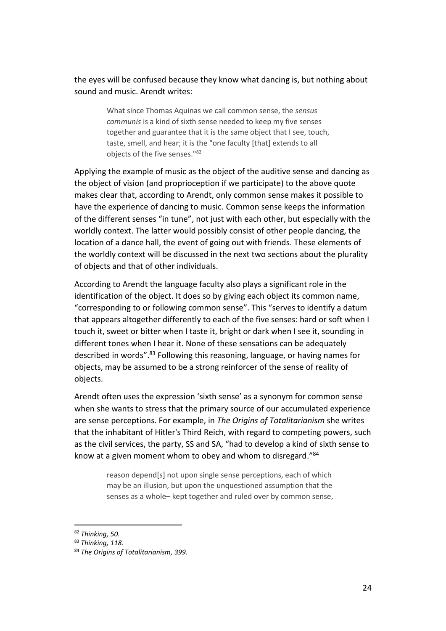the eyes will be confused because they know what dancing is, but nothing about sound and music. Arendt writes:

> What since Thomas Aquinas we call common sense, the *sensus communis* is a kind of sixth sense needed to keep my five senses together and guarantee that it is the same object that I see, touch, taste, smell, and hear; it is the "one faculty [that] extends to all objects of the five senses."<sup>82</sup>

Applying the example of music as the object of the auditive sense and dancing as the object of vision (and proprioception if we participate) to the above quote makes clear that, according to Arendt, only common sense makes it possible to have the experience of dancing to music. Common sense keeps the information of the different senses "in tune", not just with each other, but especially with the worldly context. The latter would possibly consist of other people dancing, the location of a dance hall, the event of going out with friends. These elements of the worldly context will be discussed in the next two sections about the plurality of objects and that of other individuals.

According to Arendt the language faculty also plays a significant role in the identification of the object. It does so by giving each object its common name, "corresponding to or following common sense". This "serves to identify a datum that appears altogether differently to each of the five senses: hard or soft when I touch it, sweet or bitter when I taste it, bright or dark when I see it, sounding in different tones when I hear it. None of these sensations can be adequately described in words". <sup>83</sup> Following this reasoning, language, or having names for objects, may be assumed to be a strong reinforcer of the sense of reality of objects.

Arendt often uses the expression 'sixth sense' as a synonym for common sense when she wants to stress that the primary source of our accumulated experience are sense perceptions. For example, in *The Origins of Totalitarianism* she writes that the inhabitant of Hitler's Third Reich, with regard to competing powers, such as the civil services, the party, SS and SA, "had to develop a kind of sixth sense to know at a given moment whom to obey and whom to disregard."<sup>84</sup>

> reason depend[s] not upon single sense perceptions, each of which may be an illusion, but upon the unquestioned assumption that the senses as a whole– kept together and ruled over by common sense,

<sup>82</sup> *Thinking, 50.*

<sup>83</sup> *Thinking, 118.*

<sup>84</sup> *The Origins of Totalitarianism, 399.*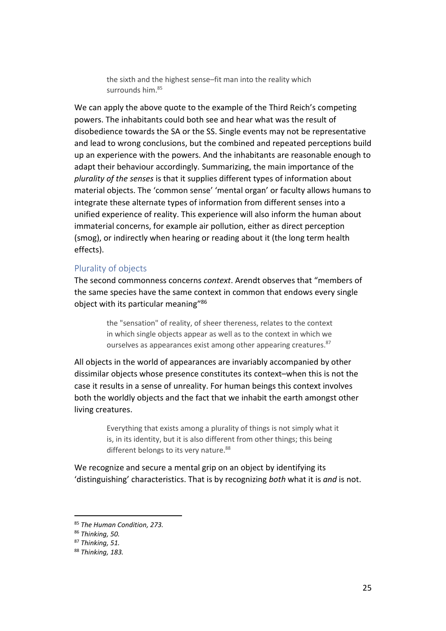the sixth and the highest sense–fit man into the reality which surrounds him 85

We can apply the above quote to the example of the Third Reich's competing powers. The inhabitants could both see and hear what was the result of disobedience towards the SA or the SS. Single events may not be representative and lead to wrong conclusions, but the combined and repeated perceptions build up an experience with the powers. And the inhabitants are reasonable enough to adapt their behaviour accordingly. Summarizing, the main importance of the *plurality of the senses* is that it supplies different types of information about material objects. The 'common sense' 'mental organ' or faculty allows humans to integrate these alternate types of information from different senses into a unified experience of reality. This experience will also inform the human about immaterial concerns, for example air pollution, either as direct perception (smog), or indirectly when hearing or reading about it (the long term health effects).

#### <span id="page-24-0"></span>Plurality of objects

The second commonness concerns *context*. Arendt observes that "members of the same species have the same context in common that endows every single object with its particular meaning"<sup>86</sup>

> the "sensation" of reality, of sheer thereness, relates to the context in which single objects appear as well as to the context in which we ourselves as appearances exist among other appearing creatures.<sup>87</sup>

All objects in the world of appearances are invariably accompanied by other dissimilar objects whose presence constitutes its context–when this is not the case it results in a sense of unreality. For human beings this context involves both the worldly objects and the fact that we inhabit the earth amongst other living creatures.

> Everything that exists among a plurality of things is not simply what it is, in its identity, but it is also different from other things; this being different belongs to its very nature.<sup>88</sup>

We recognize and secure a mental grip on an object by identifying its 'distinguishing' characteristics. That is by recognizing *both* what it is *and* is not.

<sup>85</sup> *The Human Condition, 273.*

<sup>86</sup> *Thinking, 50.*

<sup>87</sup> *Thinking, 51.*

<sup>88</sup> *Thinking, 183.*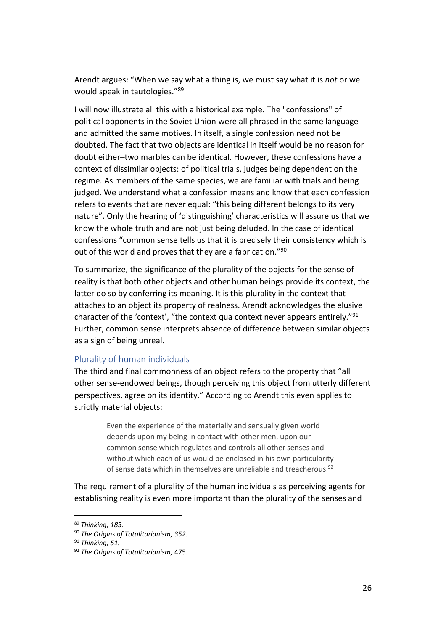Arendt argues: "When we say what a thing is, we must say what it is *not* or we would speak in tautologies."<sup>89</sup>

I will now illustrate all this with a historical example. The "confessions" of political opponents in the Soviet Union were all phrased in the same language and admitted the same motives. In itself, a single confession need not be doubted. The fact that two objects are identical in itself would be no reason for doubt either–two marbles can be identical. However, these confessions have a context of dissimilar objects: of political trials, judges being dependent on the regime. As members of the same species, we are familiar with trials and being judged. We understand what a confession means and know that each confession refers to events that are never equal: "this being different belongs to its very nature". Only the hearing of 'distinguishing' characteristics will assure us that we know the whole truth and are not just being deluded. In the case of identical confessions "common sense tells us that it is precisely their consistency which is out of this world and proves that they are a fabrication."<sup>90</sup>

To summarize, the significance of the plurality of the objects for the sense of reality is that both other objects and other human beings provide its context, the latter do so by conferring its meaning. It is this plurality in the context that attaches to an object its property of realness. Arendt acknowledges the elusive character of the 'context', "the context qua context never appears entirely."<sup>91</sup> Further, common sense interprets absence of difference between similar objects as a sign of being unreal.

#### <span id="page-25-0"></span>Plurality of human individuals

The third and final commonness of an object refers to the property that "all other sense-endowed beings, though perceiving this object from utterly different perspectives, agree on its identity." According to Arendt this even applies to strictly material objects:

> Even the experience of the materially and sensually given world depends upon my being in contact with other men, upon our common sense which regulates and controls all other senses and without which each of us would be enclosed in his own particularity of sense data which in themselves are unreliable and treacherous.<sup>92</sup>

The requirement of a plurality of the human individuals as perceiving agents for establishing reality is even more important than the plurality of the senses and

<sup>89</sup> *Thinking, 183.*

<sup>90</sup> *The Origins of Totalitarianism, 352.*

<sup>91</sup> *Thinking, 51.*

<sup>92</sup> *The Origins of Totalitarianism,* 475.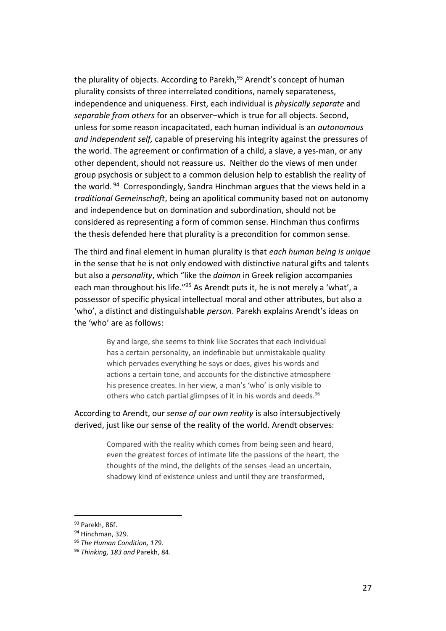the plurality of objects. According to Parekh.<sup>93</sup> Arendt's concept of human plurality consists of three interrelated conditions, namely separateness, independence and uniqueness. First, each individual is *physically separate* and *separable from others* for an observer–which is true for all objects. Second, unless for some reason incapacitated, each human individual is an *autonomous and independent self,* capable of preserving his integrity against the pressures of the world. The agreement or confirmation of a child, a slave, a yes-man, or any other dependent, should not reassure us. Neither do the views of men under group psychosis or subject to a common delusion help to establish the reality of the world. <sup>94</sup> Correspondingly, Sandra Hinchman argues that the views held in a *traditional Gemeinschaft*, being an apolitical community based not on autonomy and independence but on domination and subordination, should not be considered as representing a form of common sense. Hinchman thus confirms the thesis defended here that plurality is a precondition for common sense.

The third and final element in human plurality is that *each human being is unique* in the sense that he is not only endowed with distinctive natural gifts and talents but also a *personality*, which "like the *daimon* in Greek religion accompanies each man throughout his life."<sup>95</sup> As Arendt puts it, he is not merely a 'what', a possessor of specific physical intellectual moral and other attributes, but also a 'who', a distinct and distinguishable *person*. Parekh explains Arendt's ideas on the 'who' are as follows:

> By and large, she seems to think like Socrates that each individual has a certain personality, an indefinable but unmistakable quality which pervades everything he says or does, gives his words and actions a certain tone, and accounts for the distinctive atmosphere his presence creates. In her view, a man's 'who' is only visible to others who catch partial glimpses of it in his words and deeds.<sup>96</sup>

According to Arendt, our *sense of our own reality* is also intersubjectively derived, just like our sense of the reality of the world. Arendt observes:

> Compared with the reality which comes from being seen and heard, even the greatest forces of intimate life the passions of the heart, the thoughts of the mind, the delights of the senses -lead an uncertain, shadowy kind of existence unless and until they are transformed,

<sup>&</sup>lt;sup>93</sup> Parekh, 86f.

<sup>94</sup> Hinchman, 329.

<sup>95</sup> *The Human Condition, 179.*

<sup>96</sup> *Thinking, 183 and* Parekh, 84.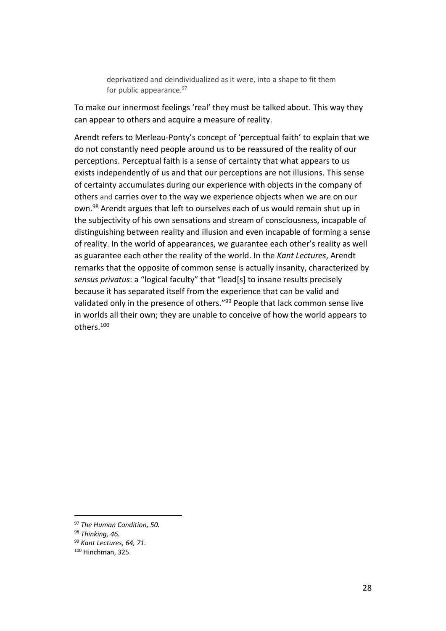deprivatized and deindividualized as it were, into a shape to fit them for public appearance.<sup>97</sup>

To make our innermost feelings 'real' they must be talked about. This way they can appear to others and acquire a measure of reality.

Arendt refers to Merleau-Ponty's concept of 'perceptual faith' to explain that we do not constantly need people around us to be reassured of the reality of our perceptions. Perceptual faith is a sense of certainty that what appears to us exists independently of us and that our perceptions are not illusions. This sense of certainty accumulates during our experience with objects in the company of others and carries over to the way we experience objects when we are on our own. <sup>98</sup> Arendt argues that left to ourselves each of us would remain shut up in the subjectivity of his own sensations and stream of consciousness, incapable of distinguishing between reality and illusion and even incapable of forming a sense of reality. In the world of appearances, we guarantee each other's reality as well as guarantee each other the reality of the world. In the *Kant Lectures*, Arendt remarks that the opposite of common sense is actually insanity, characterized by *sensus privatus*: a "logical faculty" that "lead[s] to insane results precisely because it has separated itself from the experience that can be valid and validated only in the presence of others."<sup>99</sup> People that lack common sense live in worlds all their own; they are unable to conceive of how the world appears to others.<sup>100</sup>

<sup>97</sup> *The Human Condition, 50.*

<sup>98</sup> *Thinking, 46.*

<sup>99</sup> *Kant Lectures, 64, 71.*

<sup>100</sup> Hinchman, 325.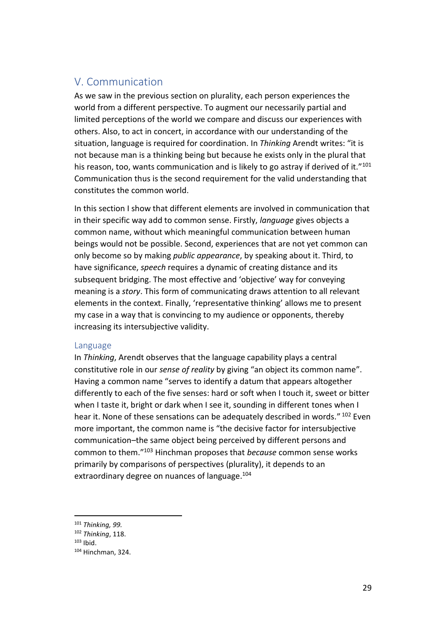## <span id="page-28-0"></span>V. Communication

As we saw in the previous section on plurality, each person experiences the world from a different perspective. To augment our necessarily partial and limited perceptions of the world we compare and discuss our experiences with others. Also, to act in concert, in accordance with our understanding of the situation, language is required for coordination. In *Thinking* Arendt writes: "it is not because man is a thinking being but because he exists only in the plural that his reason, too, wants communication and is likely to go astray if derived of it.<sup>"101</sup> Communication thus is the second requirement for the valid understanding that constitutes the common world.

In this section I show that different elements are involved in communication that in their specific way add to common sense. Firstly, *language* gives objects a common name, without which meaningful communication between human beings would not be possible. Second, experiences that are not yet common can only become so by making *public appearance*, by speaking about it. Third, to have significance, *speech* requires a dynamic of creating distance and its subsequent bridging. The most effective and 'objective' way for conveying meaning is a *story*. This form of communicating draws attention to all relevant elements in the context. Finally, 'representative thinking' allows me to present my case in a way that is convincing to my audience or opponents, thereby increasing its intersubjective validity.

#### <span id="page-28-1"></span>Language

In *Thinking*, Arendt observes that the language capability plays a central constitutive role in our *sense of reality* by giving "an object its common name". Having a common name "serves to identify a datum that appears altogether differently to each of the five senses: hard or soft when I touch it, sweet or bitter when I taste it, bright or dark when I see it, sounding in different tones when I hear it. None of these sensations can be adequately described in words." <sup>102</sup> Even more important, the common name is "the decisive factor for intersubjective communication–the same object being perceived by different persons and common to them."<sup>103</sup> Hinchman proposes that *because* common sense works primarily by comparisons of perspectives (plurality), it depends to an extraordinary degree on nuances of language. 104

<sup>101</sup> *Thinking, 99.*

<sup>102</sup> *Thinking*, 118.

 $103$  Ibid.

<sup>104</sup> Hinchman, 324.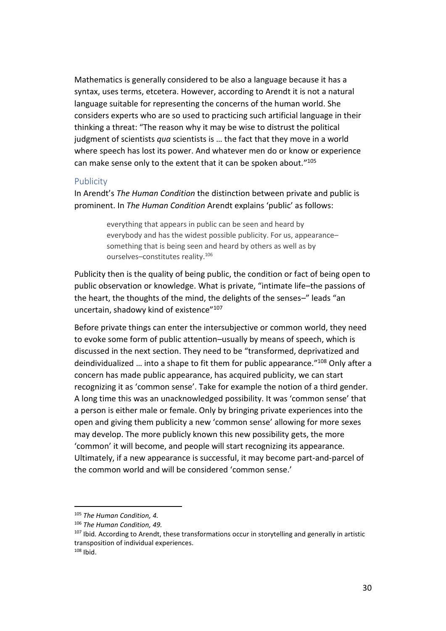Mathematics is generally considered to be also a language because it has a syntax, uses terms, etcetera. However, according to Arendt it is not a natural language suitable for representing the concerns of the human world. She considers experts who are so used to practicing such artificial language in their thinking a threat: "The reason why it may be wise to distrust the political judgment of scientists *qua* scientists is … the fact that they move in a world where speech has lost its power. And whatever men do or know or experience can make sense only to the extent that it can be spoken about." 105

#### <span id="page-29-0"></span>Publicity

In Arendt's *The Human Condition* the distinction between private and public is prominent. In *The Human Condition* Arendt explains 'public' as follows:

> everything that appears in public can be seen and heard by everybody and has the widest possible publicity. For us, appearance– something that is being seen and heard by others as well as by ourselves–constitutes reality.<sup>106</sup>

Publicity then is the quality of being public, the condition or fact of being open to public observation or knowledge. What is private, "intimate life–the passions of the heart, the thoughts of the mind, the delights of the senses–" leads "an uncertain, shadowy kind of existence"<sup>107</sup>

Before private things can enter the intersubjective or common world, they need to evoke some form of public attention–usually by means of speech, which is discussed in the next section. They need to be "transformed, deprivatized and deindividualized … into a shape to fit them for public appearance." <sup>108</sup> Only after a concern has made public appearance, has acquired publicity, we can start recognizing it as 'common sense'. Take for example the notion of a third gender. A long time this was an unacknowledged possibility. It was 'common sense' that a person is either male or female. Only by bringing private experiences into the open and giving them publicity a new 'common sense' allowing for more sexes may develop. The more publicly known this new possibility gets, the more 'common' it will become, and people will start recognizing its appearance. Ultimately, if a new appearance is successful, it may become part-and-parcel of the common world and will be considered 'common sense.'

<sup>105</sup> *The Human Condition, 4.*

<sup>106</sup> *The Human Condition, 49.*

<sup>107</sup> Ibid*.* According to Arendt, these transformations occur in storytelling and generally in artistic transposition of individual experiences.  $108$  Ibid.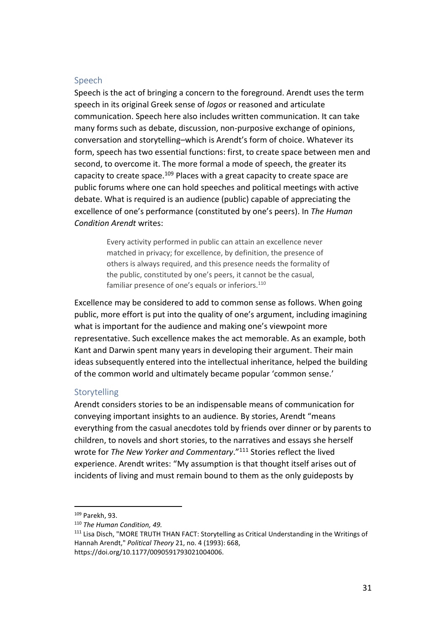#### <span id="page-30-0"></span>Speech

Speech is the act of bringing a concern to the foreground. Arendt uses the term speech in its original Greek sense of *logos* or reasoned and articulate communication. Speech here also includes written communication. It can take many forms such as debate, discussion, non-purposive exchange of opinions, conversation and storytelling–which is Arendt's form of choice. Whatever its form, speech has two essential functions: first, to create space between men and second, to overcome it. The more formal a mode of speech, the greater its capacity to create space.<sup>109</sup> Places with a great capacity to create space are public forums where one can hold speeches and political meetings with active debate. What is required is an audience (public) capable of appreciating the excellence of one's performance (constituted by one's peers). In *The Human Condition Arendt* writes:

> Every activity performed in public can attain an excellence never matched in privacy; for excellence, by definition, the presence of others is always required, and this presence needs the formality of the public, constituted by one's peers, it cannot be the casual, familiar presence of one's equals or inferiors.<sup>110</sup>

Excellence may be considered to add to common sense as follows. When going public, more effort is put into the quality of one's argument, including imagining what is important for the audience and making one's viewpoint more representative. Such excellence makes the act memorable. As an example, both Kant and Darwin spent many years in developing their argument. Their main ideas subsequently entered into the intellectual inheritance, helped the building of the common world and ultimately became popular 'common sense.'

#### <span id="page-30-1"></span>**Storytelling**

Arendt considers stories to be an indispensable means of communication for conveying important insights to an audience. By stories, Arendt "means everything from the casual anecdotes told by friends over dinner or by parents to children, to novels and short stories, to the narratives and essays she herself wrote for *The New Yorker and Commentary*." <sup>111</sup> Stories reflect the lived experience. Arendt writes: "My assumption is that thought itself arises out of incidents of living and must remain bound to them as the only guideposts by

<sup>109</sup> Parekh, 93.

<sup>110</sup> *The Human Condition, 49.*

<sup>&</sup>lt;sup>111</sup> Lisa Disch, "MORE TRUTH THAN FACT: Storytelling as Critical Understanding in the Writings of Hannah Arendt," *Political Theory* 21, no. 4 (1993): 668, https://doi.org/10.1177/0090591793021004006.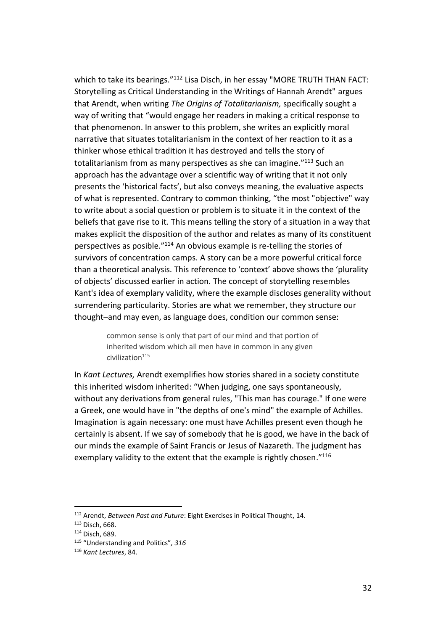which to take its bearings."<sup>112</sup> Lisa Disch, in her essay "MORE TRUTH THAN FACT: Storytelling as Critical Understanding in the Writings of Hannah Arendt" argues that Arendt, when writing *The Origins of Totalitarianism,* specifically sought a way of writing that "would engage her readers in making a critical response to that phenomenon. In answer to this problem, she writes an explicitly moral narrative that situates totalitarianism in the context of her reaction to it as a thinker whose ethical tradition it has destroyed and tells the story of totalitarianism from as many perspectives as she can imagine."<sup>113</sup> Such an approach has the advantage over a scientific way of writing that it not only presents the 'historical facts', but also conveys meaning, the evaluative aspects of what is represented. Contrary to common thinking, "the most "objective" way to write about a social question or problem is to situate it in the context of the beliefs that gave rise to it. This means telling the story of a situation in a way that makes explicit the disposition of the author and relates as many of its constituent perspectives as posible." <sup>114</sup> An obvious example is re-telling the stories of survivors of concentration camps. A story can be a more powerful critical force than a theoretical analysis. This reference to 'context' above shows the 'plurality of objects' discussed earlier in action. The concept of storytelling resembles Kant's idea of exemplary validity, where the example discloses generality without surrendering particularity. Stories are what we remember, they structure our thought–and may even, as language does, condition our common sense:

> common sense is only that part of our mind and that portion of inherited wisdom which all men have in common in any given civilization<sup>115</sup>

In *Kant Lectures,* Arendt exemplifies how stories shared in a society constitute this inherited wisdom inherited: "When judging, one says spontaneously, without any derivations from general rules, "This man has courage." If one were a Greek, one would have in "the depths of one's mind" the example of Achilles. Imagination is again necessary: one must have Achilles present even though he certainly is absent. If we say of somebody that he is good, we have in the back of our minds the example of Saint Francis or Jesus of Nazareth. The judgment has exemplary validity to the extent that the example is rightly chosen."<sup>116</sup>

<sup>112</sup> Arendt, *Between Past and Future*: Eight Exercises in Political Thought, 14.

<sup>113</sup> Disch, 668.

<sup>114</sup> Disch, 689.

<sup>115</sup> "Understanding and Politics"*, 316*

<sup>116</sup> *Kant Lectures*, 84.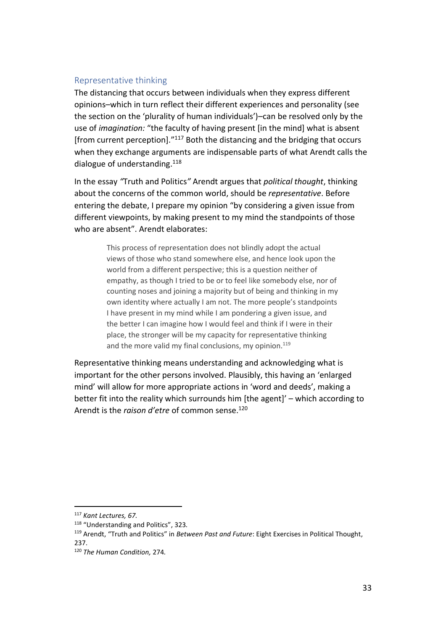#### <span id="page-32-0"></span>Representative thinking

The distancing that occurs between individuals when they express different opinions–which in turn reflect their different experiences and personality (see the section on the 'plurality of human individuals')–can be resolved only by the use of *imagination:* "the faculty of having present [in the mind] what is absent [from current perception]." <sup>117</sup> Both the distancing and the bridging that occurs when they exchange arguments are indispensable parts of what Arendt calls the dialogue of understanding.<sup>118</sup>

In the essay *"*Truth and Politics*"* Arendt argues that *political thought*, thinking about the concerns of the common world, should be *representative*. Before entering the debate, I prepare my opinion "by considering a given issue from different viewpoints, by making present to my mind the standpoints of those who are absent". Arendt elaborates:

> This process of representation does not blindly adopt the actual views of those who stand somewhere else, and hence look upon the world from a different perspective; this is a question neither of empathy, as though I tried to be or to feel like somebody else, nor of counting noses and joining a majority but of being and thinking in my own identity where actually I am not. The more people's standpoints I have present in my mind while I am pondering a given issue, and the better I can imagine how I would feel and think if I were in their place, the stronger will be my capacity for representative thinking and the more valid my final conclusions, my opinion. $119$

Representative thinking means understanding and acknowledging what is important for the other persons involved. Plausibly, this having an 'enlarged mind' will allow for more appropriate actions in 'word and deeds', making a better fit into the reality which surrounds him [the agent]' – which according to Arendt is the *raison d'etre* of common sense.<sup>120</sup>

<sup>117</sup> *Kant Lectures, 67.* 

<sup>118</sup> "Understanding and Politics", 323*.*

<sup>119</sup> Arendt, "Truth and Politics" in *Between Past and Future*: Eight Exercises in Political Thought, 237.

<sup>120</sup> *The Human Condition,* 274*.*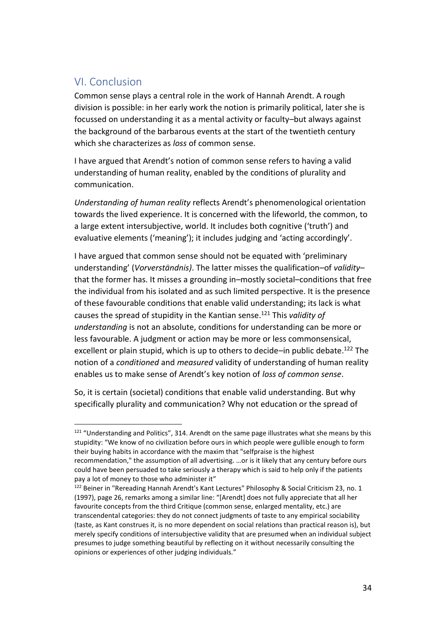# <span id="page-33-0"></span>VI. Conclusion

Common sense plays a central role in the work of Hannah Arendt. A rough division is possible: in her early work the notion is primarily political, later she is focussed on understanding it as a mental activity or faculty–but always against the background of the barbarous events at the start of the twentieth century which she characterizes as *loss* of common sense.

I have argued that Arendt's notion of common sense refers to having a valid understanding of human reality, enabled by the conditions of plurality and communication.

*Understanding of human reality* reflects Arendt's phenomenological orientation towards the lived experience. It is concerned with the lifeworld, the common, to a large extent intersubjective, world. It includes both cognitive ('truth') and evaluative elements ('meaning'); it includes judging and 'acting accordingly'.

I have argued that common sense should not be equated with 'preliminary understanding' (*Vorverständnis)*. The latter misses the qualification–of *validity*– that the former has. It misses a grounding in–mostly societal–conditions that free the individual from his isolated and as such limited perspective. It is the presence of these favourable conditions that enable valid understanding; its lack is what causes the spread of stupidity in the Kantian sense. <sup>121</sup> This *validity of understanding* is not an absolute, conditions for understanding can be more or less favourable. A judgment or action may be more or less commonsensical, excellent or plain stupid, which is up to others to decide–in public debate.<sup>122</sup> The notion of a *conditioned* and *measured* validity of understanding of human reality enables us to make sense of Arendt's key notion of *loss of common sense*.

So, it is certain (societal) conditions that enable valid understanding. But why specifically plurality and communication? Why not education or the spread of

 $\overline{a}$ <sup>121</sup> "Understanding and Politics", 314. Arendt on the same page illustrates what she means by this stupidity: "We know of no civilization before ours in which people were gullible enough to form their buying habits in accordance with the maxim that "selfpraise is the highest recommendation," the assumption of all advertising. …or is it likely that any century before ours could have been persuaded to take seriously a therapy which is said to help only if the patients pay a lot of money to those who administer it"

<sup>&</sup>lt;sup>122</sup> Beiner in "Rereading Hannah Arendt's Kant Lectures" Philosophy & Social Criticism 23, no. 1 (1997), page 26, remarks among a similar line: "[Arendt] does not fully appreciate that all her favourite concepts from the third Critique (common sense, enlarged mentality, etc.) are transcendental categories: they do not connect judgments of taste to any empirical sociability (taste, as Kant construes it, is no more dependent on social relations than practical reason is), but merely specify conditions of intersubjective validity that are presumed when an individual subject presumes to judge something beautiful by reflecting on it without necessarily consulting the opinions or experiences of other judging individuals."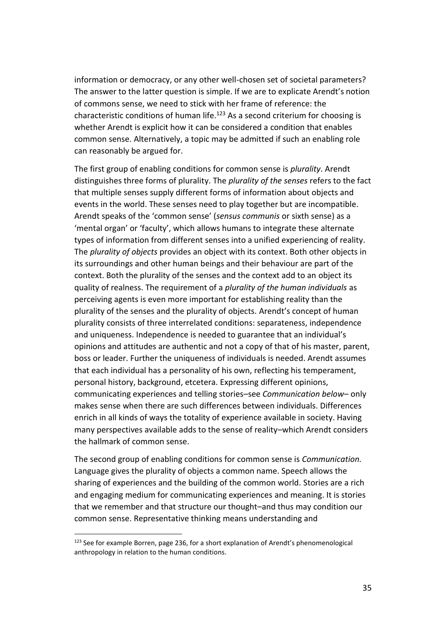information or democracy, or any other well-chosen set of societal parameters? The answer to the latter question is simple. If we are to explicate Arendt's notion of commons sense, we need to stick with her frame of reference: the characteristic conditions of human life.<sup>123</sup> As a second criterium for choosing is whether Arendt is explicit how it can be considered a condition that enables common sense. Alternatively, a topic may be admitted if such an enabling role can reasonably be argued for.

The first group of enabling conditions for common sense is *plurality*. Arendt distinguishes three forms of plurality. The *plurality of the senses* refers to the fact that multiple senses supply different forms of information about objects and events in the world. These senses need to play together but are incompatible. Arendt speaks of the 'common sense' (*sensus communis* or sixth sense) as a 'mental organ' or 'faculty', which allows humans to integrate these alternate types of information from different senses into a unified experiencing of reality. The *plurality of objects* provides an object with its context. Both other objects in its surroundings and other human beings and their behaviour are part of the context. Both the plurality of the senses and the context add to an object its quality of realness. The requirement of a *plurality of the human individuals* as perceiving agents is even more important for establishing reality than the plurality of the senses and the plurality of objects. Arendt's concept of human plurality consists of three interrelated conditions: separateness, independence and uniqueness. Independence is needed to guarantee that an individual's opinions and attitudes are authentic and not a copy of that of his master, parent, boss or leader. Further the uniqueness of individuals is needed. Arendt assumes that each individual has a personality of his own, reflecting his temperament, personal history, background, etcetera. Expressing different opinions, communicating experiences and telling stories–see *Communication below*– only makes sense when there are such differences between individuals. Differences enrich in all kinds of ways the totality of experience available in society. Having many perspectives available adds to the sense of reality–which Arendt considers the hallmark of common sense.

The second group of enabling conditions for common sense is *Communication.* Language gives the plurality of objects a common name. Speech allows the sharing of experiences and the building of the common world. Stories are a rich and engaging medium for communicating experiences and meaning. It is stories that we remember and that structure our thought–and thus may condition our common sense. Representative thinking means understanding and

<sup>&</sup>lt;sup>123</sup> See for example Borren, page 236, for a short explanation of Arendt's phenomenological anthropology in relation to the human conditions.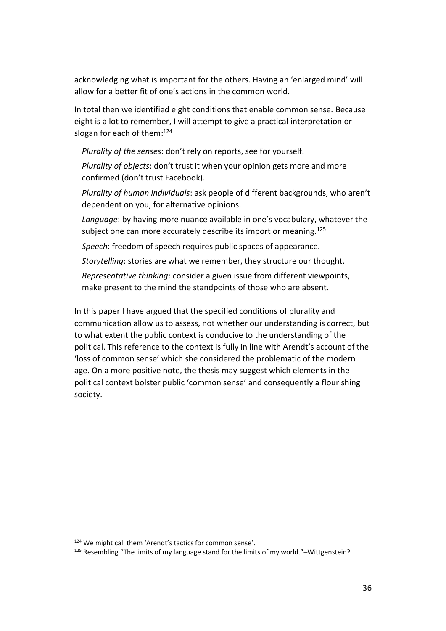acknowledging what is important for the others. Having an 'enlarged mind' will allow for a better fit of one's actions in the common world.

In total then we identified eight conditions that enable common sense. Because eight is a lot to remember, I will attempt to give a practical interpretation or slogan for each of them: 124

*Plurality of the senses*: don't rely on reports, see for yourself.

*Plurality of objects*: don't trust it when your opinion gets more and more confirmed (don't trust Facebook).

*Plurality of human individuals*: ask people of different backgrounds, who aren't dependent on you, for alternative opinions.

*Language*: by having more nuance available in one's vocabulary, whatever the subject one can more accurately describe its import or meaning.<sup>125</sup>

*Speech*: freedom of speech requires public spaces of appearance.

*Storytelling*: stories are what we remember, they structure our thought.

*Representative thinking*: consider a given issue from different viewpoints, make present to the mind the standpoints of those who are absent.

In this paper I have argued that the specified conditions of plurality and communication allow us to assess, not whether our understanding is correct, but to what extent the public context is conducive to the understanding of the political. This reference to the context is fully in line with Arendt's account of the 'loss of common sense' which she considered the problematic of the modern age. On a more positive note, the thesis may suggest which elements in the political context bolster public 'common sense' and consequently a flourishing society.

<sup>124</sup> We might call them 'Arendt's tactics for common sense'.

<sup>125</sup> Resembling "The limits of my language stand for the limits of my world."-Wittgenstein?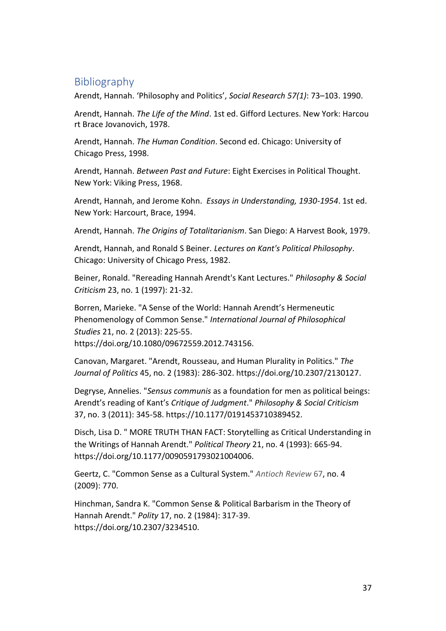# <span id="page-36-0"></span>Bibliography

Arendt, Hannah. 'Philosophy and Politics', *Social Research 57(1)*: 73–103. 1990.

Arendt, Hannah. *The Life of the Mind*. 1st ed. Gifford Lectures. New York: Harcou rt Brace Jovanovich, 1978.

Arendt, Hannah. *The Human Condition*. Second ed. Chicago: University of Chicago Press, 1998.

Arendt, Hannah. *Between Past and Future*: Eight Exercises in Political Thought. New York: Viking Press, 1968.

Arendt, Hannah, and Jerome Kohn. *Essays in Understanding, 1930-1954*. 1st ed. New York: Harcourt, Brace, 1994.

Arendt, Hannah. *The Origins of Totalitarianism*. San Diego: A Harvest Book, 1979.

Arendt, Hannah, and Ronald S Beiner. *Lectures on Kant's Political Philosophy*. Chicago: University of Chicago Press, 1982.

Beiner, Ronald. "Rereading Hannah Arendt's Kant Lectures." *Philosophy & Social Criticism* 23, no. 1 (1997): 21-32.

Borren, Marieke. "A Sense of the World: Hannah Arendt's Hermeneutic Phenomenology of Common Sense." *International Journal of Philosophical Studies* 21, no. 2 (2013): 225-55. https://doi.org/10.1080/09672559.2012.743156.

Canovan, Margaret. "Arendt, Rousseau, and Human Plurality in Politics." *The Journal of Politics* 45, no. 2 (1983): 286-302. https://doi.org/10.2307/2130127.

Degryse, Annelies. "*Sensus communis* as a foundation for men as political beings: Arendt's reading of Kant's *Critique of Judgment*." *Philosophy & Social Criticism* 37, no. 3 (2011): 345-58. https://10.1177/0191453710389452.

Disch, Lisa D. " MORE TRUTH THAN FACT: Storytelling as Critical Understanding in the Writings of Hannah Arendt." *Political Theory* 21, no. 4 (1993): 665-94. https://doi.org/10.1177/0090591793021004006.

Geertz, C. "Common Sense as a Cultural System." *Antioch Review* 67, no. 4 (2009): 770.

Hinchman, Sandra K. "Common Sense & Political Barbarism in the Theory of Hannah Arendt." *Polity* 17, no. 2 (1984): 317-39. https://doi.org/10.2307/3234510.